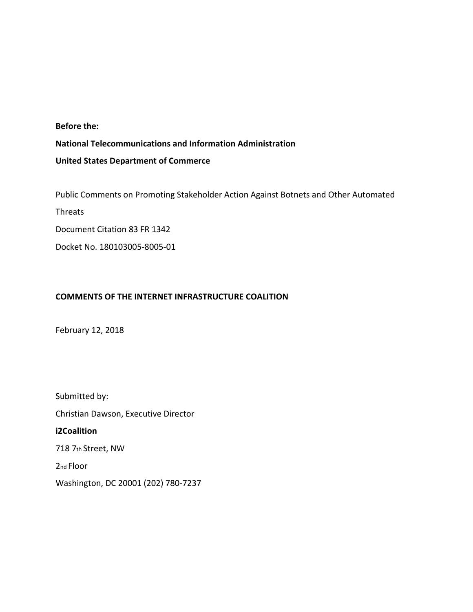### **Before the:**

# **National Telecommunications and Information Administration**

## **United States Department of Commerce**

Public Comments on Promoting Stakeholder Action Against Botnets and Other Automated

Threats

Document Citation 83 FR 1342

Docket No. 180103005-8005-01

## **COMMENTS OF THE INTERNET INFRASTRUCTURE COALITION**

February 12, 2018

Submitted by: Christian Dawson, Executive Director **i2Coalition** 718 7th Street, NW 2nd Floor Washington, DC 20001 (202) 780-7237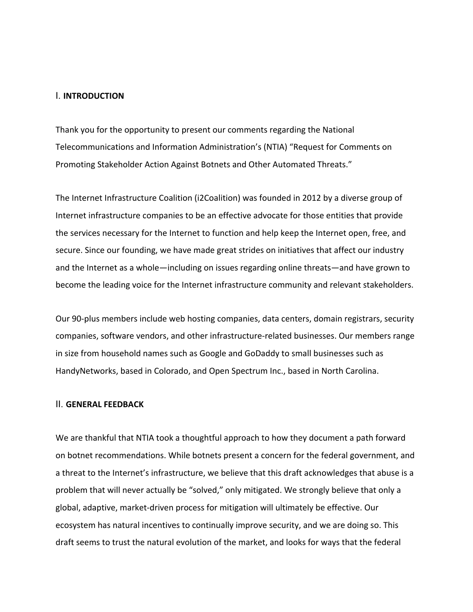#### I. **INTRODUCTION**

Thank you for the opportunity to present our comments regarding the National Telecommunications and Information Administration's (NTIA) "Request for Comments on Promoting Stakeholder Action Against Botnets and Other Automated Threats."

The Internet Infrastructure Coalition (i2Coalition) was founded in 2012 by a diverse group of Internet infrastructure companies to be an effective advocate for those entities that provide the services necessary for the Internet to function and help keep the Internet open, free, and secure. Since our founding, we have made great strides on initiatives that affect our industry and the Internet as a whole—including on issues regarding online threats—and have grown to become the leading voice for the Internet infrastructure community and relevant stakeholders.

Our 90-plus members include web hosting companies, data centers, domain registrars, security companies, software vendors, and other infrastructure-related businesses. Our members range in size from household names such as Google and GoDaddy to small businesses such as HandyNetworks, based in Colorado, and Open Spectrum Inc., based in North Carolina.

#### II. **GENERAL FEEDBACK**

We are thankful that NTIA took a thoughtful approach to how they document a path forward on botnet recommendations. While botnets present a concern for the federal government, and a threat to the Internet's infrastructure, we believe that this draft acknowledges that abuse is a problem that will never actually be "solved," only mitigated. We strongly believe that only a global, adaptive, market-driven process for mitigation will ultimately be effective. Our ecosystem has natural incentives to continually improve security, and we are doing so. This draft seems to trust the natural evolution of the market, and looks for ways that the federal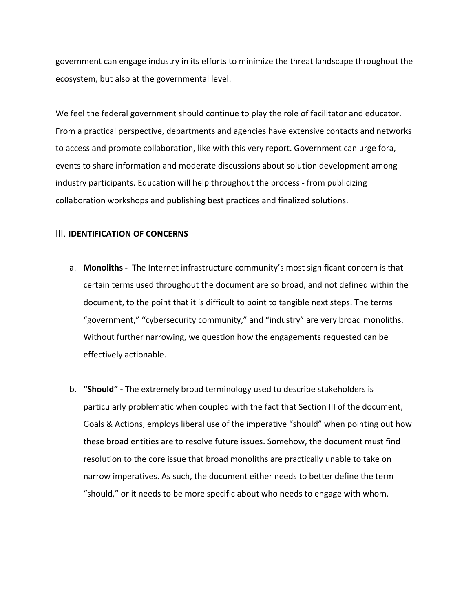government can engage industry in its efforts to minimize the threat landscape throughout the ecosystem, but also at the governmental level.

We feel the federal government should continue to play the role of facilitator and educator. From a practical perspective, departments and agencies have extensive contacts and networks to access and promote collaboration, like with this very report. Government can urge fora, events to share information and moderate discussions about solution development among industry participants. Education will help throughout the process - from publicizing collaboration workshops and publishing best practices and finalized solutions.

### III. **IDENTIFICATION OF CONCERNS**

- a. **Monoliths** The Internet infrastructure community's most significant concern is that certain terms used throughout the document are so broad, and not defined within the document, to the point that it is difficult to point to tangible next steps. The terms "government," "cybersecurity community," and "industry" are very broad monoliths. Without further narrowing, we question how the engagements requested can be effectively actionable.
- b. **"Should" -** The extremely broad terminology used to describe stakeholders is particularly problematic when coupled with the fact that Section III of the document, Goals & Actions, employs liberal use of the imperative "should" when pointing out how these broad entities are to resolve future issues. Somehow, the document must find resolution to the core issue that broad monoliths are practically unable to take on narrow imperatives. As such, the document either needs to better define the term "should," or it needs to be more specific about who needs to engage with whom.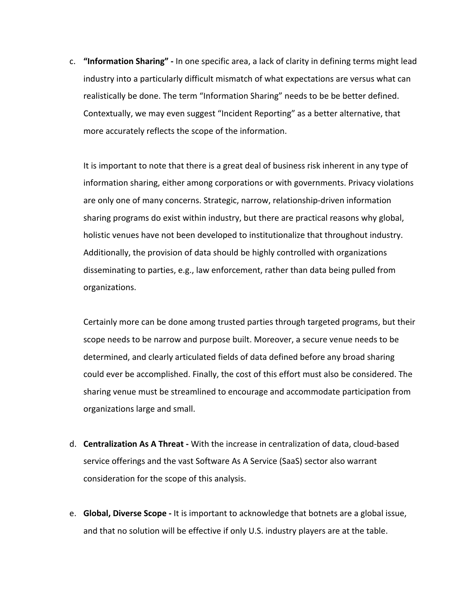c. **"Information Sharing" -** In one specific area, a lack of clarity in defining terms might lead industry into a particularly difficult mismatch of what expectations are versus what can realistically be done. The term "Information Sharing" needs to be be better defined. Contextually, we may even suggest "Incident Reporting" as a better alternative, that more accurately reflects the scope of the information.

It is important to note that there is a great deal of business risk inherent in any type of information sharing, either among corporations or with governments. Privacy violations are only one of many concerns. Strategic, narrow, relationship-driven information sharing programs do exist within industry, but there are practical reasons why global, holistic venues have not been developed to institutionalize that throughout industry. Additionally, the provision of data should be highly controlled with organizations disseminating to parties, e.g., law enforcement, rather than data being pulled from organizations.

Certainly more can be done among trusted parties through targeted programs, but their scope needs to be narrow and purpose built. Moreover, a secure venue needs to be determined, and clearly articulated fields of data defined before any broad sharing could ever be accomplished. Finally, the cost of this effort must also be considered. The sharing venue must be streamlined to encourage and accommodate participation from organizations large and small.

- d. **Centralization As A Threat** With the increase in centralization of data, cloud-based service offerings and the vast Software As A Service (SaaS) sector also warrant consideration for the scope of this analysis.
- e. **Global, Diverse Scope -** It is important to acknowledge that botnets are a global issue, and that no solution will be effective if only U.S. industry players are at the table.